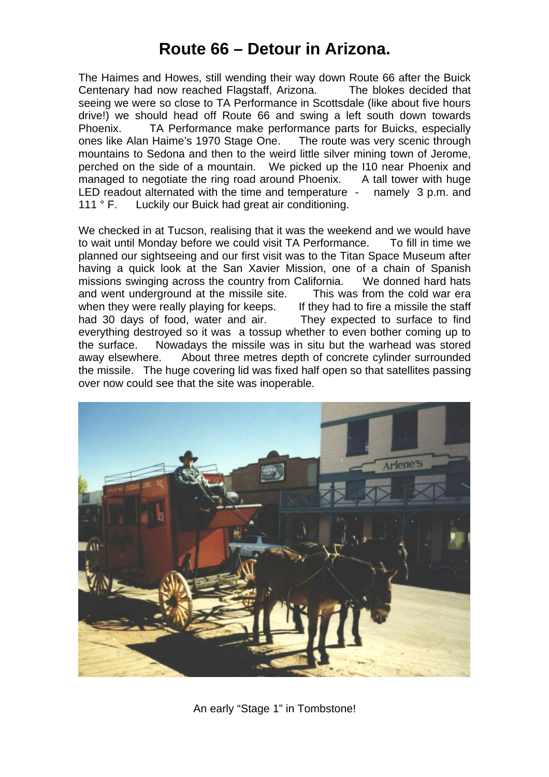## **Route 66 – Detour in Arizona.**

The Haimes and Howes, still wending their way down Route 66 after the Buick Centenary had now reached Flagstaff, Arizona. The blokes decided that seeing we were so close to TA Performance in Scottsdale (like about five hours drive!) we should head off Route 66 and swing a left south down towards Phoenix. TA Performance make performance parts for Buicks, especially ones like Alan Haime's 1970 Stage One. The route was very scenic through mountains to Sedona and then to the weird little silver mining town of Jerome, perched on the side of a mountain. We picked up the I10 near Phoenix and managed to negotiate the ring road around Phoenix. A tall tower with huge LED readout alternated with the time and temperature - namely 3 p.m. and 111 ° F. Luckily our Buick had great air conditioning.

We checked in at Tucson, realising that it was the weekend and we would have to wait until Monday before we could visit TA Performance. To fill in time we planned our sightseeing and our first visit was to the Titan Space Museum after having a quick look at the San Xavier Mission, one of a chain of Spanish missions swinging across the country from California. We donned hard hats and went underground at the missile site. This was from the cold war era when they were really playing for keeps. If they had to fire a missile the staff had 30 days of food, water and air. They expected to surface to find everything destroyed so it was a tossup whether to even bother coming up to the surface. Nowadays the missile was in situ but the warhead was stored away elsewhere. About three metres depth of concrete cylinder surrounded the missile. The huge covering lid was fixed half open so that satellites passing over now could see that the site was inoperable.



An early "Stage 1" in Tombstone!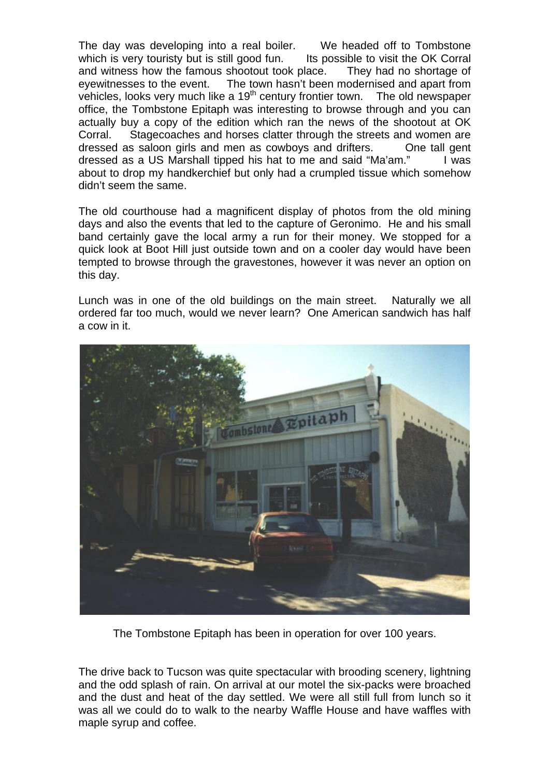The day was developing into a real boiler. We headed off to Tombstone which is very touristy but is still good fun. Its possible to visit the OK Corral and witness how the famous shootout took place. They had no shortage of eyewitnesses to the event. The town hasn't been modernised and apart from vehicles, looks very much like a  $19<sup>th</sup>$  century frontier town. The old newspaper office, the Tombstone Epitaph was interesting to browse through and you can actually buy a copy of the edition which ran the news of the shootout at OK Corral. Stagecoaches and horses clatter through the streets and women are dressed as saloon girls and men as cowboys and drifters. One tall gent dressed as a US Marshall tipped his hat to me and said "Ma'am." I was about to drop my handkerchief but only had a crumpled tissue which somehow didn't seem the same.

The old courthouse had a magnificent display of photos from the old mining days and also the events that led to the capture of Geronimo. He and his small band certainly gave the local army a run for their money. We stopped for a quick look at Boot Hill just outside town and on a cooler day would have been tempted to browse through the gravestones, however it was never an option on this day.

Lunch was in one of the old buildings on the main street. Naturally we all ordered far too much, would we never learn? One American sandwich has half a cow in it.



The Tombstone Epitaph has been in operation for over 100 years.

The drive back to Tucson was quite spectacular with brooding scenery, lightning and the odd splash of rain. On arrival at our motel the six-packs were broached and the dust and heat of the day settled. We were all still full from lunch so it was all we could do to walk to the nearby Waffle House and have waffles with maple syrup and coffee.